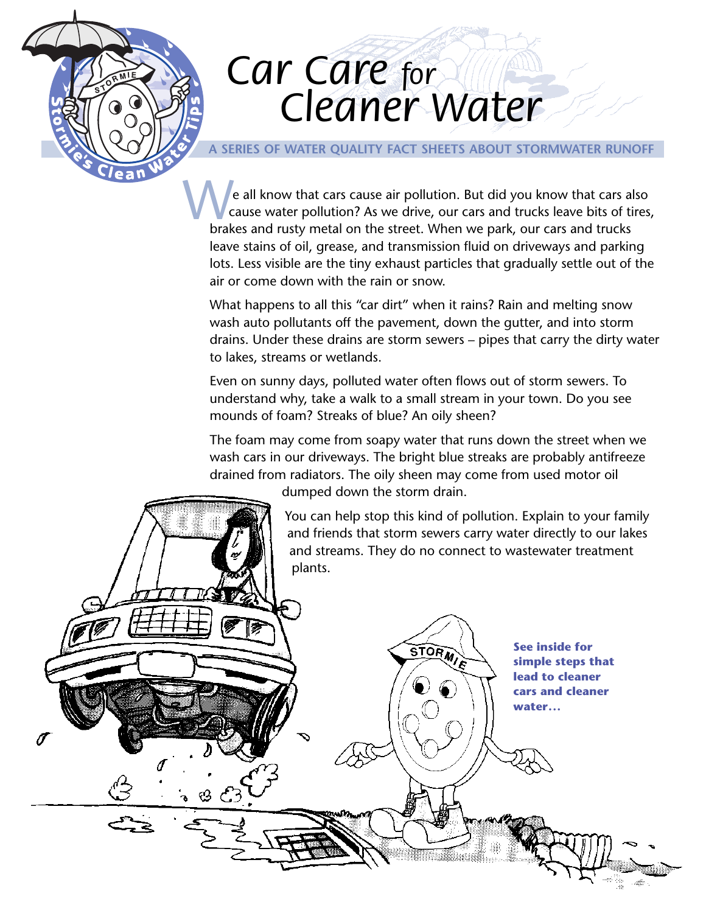# *Car Care for Car Care for Cleaner Water Cleaner Water*

## **A SERIES OF WATER QUALITY FACT SHEETS ABOUT STORMWATER RUNOFF**

We all know that cars cause air pollution. But did you know that cars a<br>cause water pollution? As we drive, our cars and trucks leave bits of t<br>brakes and rusty metal on the street. When we park, our cars and trucks e all know that cars cause air pollution. But did you know that cars also cause water pollution? As we drive, our cars and trucks leave bits of tires, leave stains of oil, grease, and transmission fluid on driveways and parking lots. Less visible are the tiny exhaust particles that gradually settle out of the air or come down with the rain or snow.

What happens to all this "car dirt" when it rains? Rain and melting snow wash auto pollutants off the pavement, down the gutter, and into storm drains. Under these drains are storm sewers – pipes that carry the dirty water to lakes, streams or wetlands.

Even on sunny days, polluted water often flows out of storm sewers. To understand why, take a walk to a small stream in your town. Do you see mounds of foam? Streaks of blue? An oily sheen?

The foam may come from soapy water that runs down the street when we wash cars in our driveways. The bright blue streaks are probably antifreeze drained from radiators. The oily sheen may come from used motor oil



You can help stop this kind of pollution. Explain to your family and friends that storm sewers carry water directly to our lakes and streams. They do no connect to wastewater treatment plants.

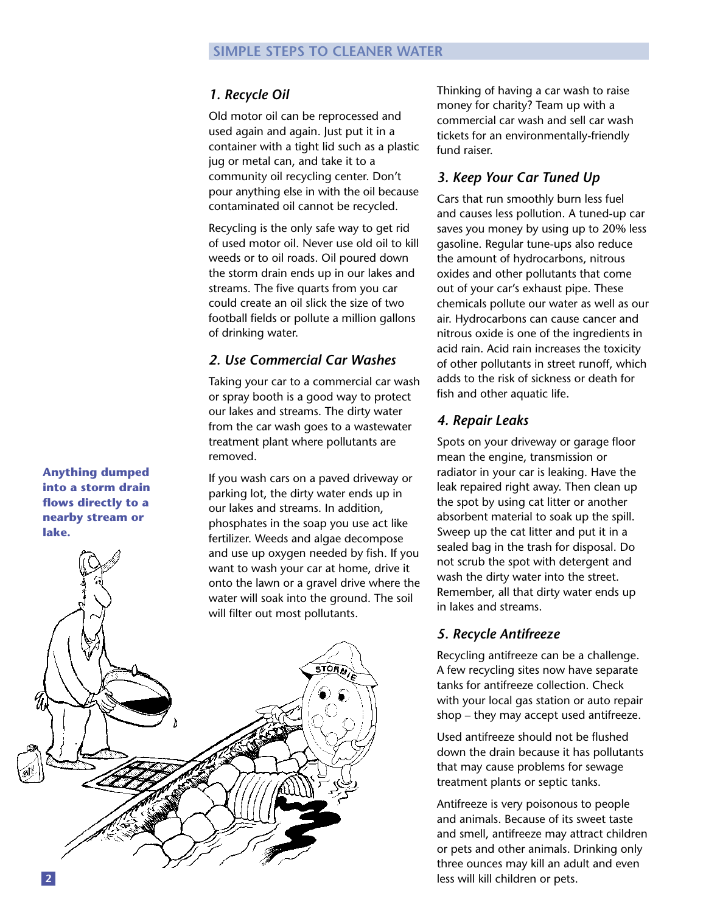# *1. Recycle Oil*

Old motor oil can be reprocessed and used again and again. Just put it in a container with a tight lid such as a plastic jug or metal can, and take it to a community oil recycling center. Don't pour anything else in with the oil because contaminated oil cannot be recycled.

Recycling is the only safe way to get rid of used motor oil. Never use old oil to kill weeds or to oil roads. Oil poured down the storm drain ends up in our lakes and streams. The five quarts from you car could create an oil slick the size of two football fields or pollute a million gallons of drinking water.

## *2. Use Commercial Car Washes*

Taking your car to a commercial car wash or spray booth is a good way to protect our lakes and streams. The dirty water from the car wash goes to a wastewater treatment plant where pollutants are removed.

If you wash cars on a paved driveway or parking lot, the dirty water ends up in our lakes and streams. In addition, phosphates in the soap you use act like fertilizer. Weeds and algae decompose and use up oxygen needed by fish. If you want to wash your car at home, drive it onto the lawn or a gravel drive where the water will soak into the ground. The soil

Thinking of having a car wash to raise money for charity? Team up with a commercial car wash and sell car wash tickets for an environmentally-friendly fund raiser.

# *3. Keep Your Car Tuned Up*

Cars that run smoothly burn less fuel and causes less pollution. A tuned-up car saves you money by using up to 20% less gasoline. Regular tune-ups also reduce the amount of hydrocarbons, nitrous oxides and other pollutants that come out of your car's exhaust pipe. These chemicals pollute our water as well as our air. Hydrocarbons can cause cancer and nitrous oxide is one of the ingredients in acid rain. Acid rain increases the toxicity of other pollutants in street runoff, which adds to the risk of sickness or death for fish and other aquatic life.

## *4. Repair Leaks*

Spots on your driveway or garage floor mean the engine, transmission or radiator in your car is leaking. Have the leak repaired right away. Then clean up the spot by using cat litter or another absorbent material to soak up the spill. Sweep up the cat litter and put it in a sealed bag in the trash for disposal. Do not scrub the spot with detergent and wash the dirty water into the street. Remember, all that dirty water ends up in lakes and streams.

# *5. Recycle Antifreeze*

Recycling antifreeze can be a challenge. A few recycling sites now have separate tanks for antifreeze collection. Check with your local gas station or auto repair shop – they may accept used antifreeze.

Used antifreeze should not be flushed down the drain because it has pollutants that may cause problems for sewage treatment plants or septic tanks.

Antifreeze is very poisonous to people and animals. Because of its sweet taste and smell, antifreeze may attract children or pets and other animals. Drinking only three ounces may kill an adult and even less will kill children or pets.

**Anything dumped into a storm drain flows directly to a nearby stream or lake.**

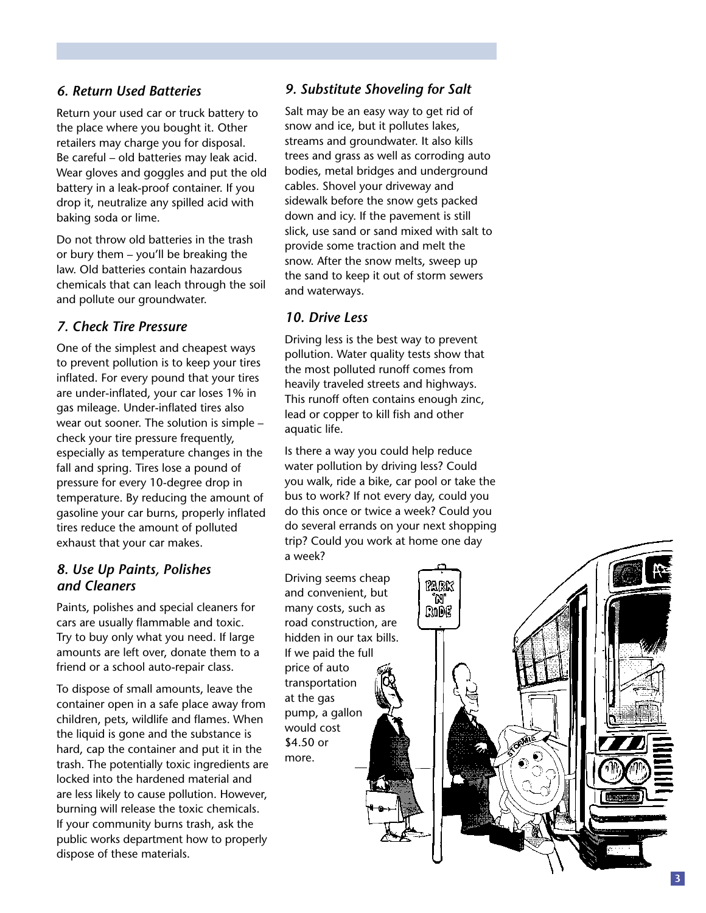### *6. Return Used Batteries*

Return your used car or truck battery to the place where you bought it. Other retailers may charge you for disposal. Be careful – old batteries may leak acid. Wear gloves and goggles and put the old battery in a leak-proof container. If you drop it, neutralize any spilled acid with baking soda or lime.

Do not throw old batteries in the trash or bury them – you'll be breaking the law. Old batteries contain hazardous chemicals that can leach through the soil and pollute our groundwater.

### *7. Check Tire Pressure*

One of the simplest and cheapest ways to prevent pollution is to keep your tires inflated. For every pound that your tires are under-inflated, your car loses 1% in gas mileage. Under-inflated tires also wear out sooner. The solution is simple – check your tire pressure frequently, especially as temperature changes in the fall and spring. Tires lose a pound of pressure for every 10-degree drop in temperature. By reducing the amount of gasoline your car burns, properly inflated tires reduce the amount of polluted exhaust that your car makes.

#### *8. Use Up Paints, Polishes and Cleaners*

Paints, polishes and special cleaners for cars are usually flammable and toxic. Try to buy only what you need. If large amounts are left over, donate them to a friend or a school auto-repair class.

To dispose of small amounts, leave the container open in a safe place away from children, pets, wildlife and flames. When the liquid is gone and the substance is hard, cap the container and put it in the trash. The potentially toxic ingredients are locked into the hardened material and are less likely to cause pollution. However, burning will release the toxic chemicals. If your community burns trash, ask the public works department how to properly dispose of these materials.

#### *9. Substitute Shoveling for Salt*

Salt may be an easy way to get rid of snow and ice, but it pollutes lakes, streams and groundwater. It also kills trees and grass as well as corroding auto bodies, metal bridges and underground cables. Shovel your driveway and sidewalk before the snow gets packed down and icy. If the pavement is still slick, use sand or sand mixed with salt to provide some traction and melt the snow. After the snow melts, sweep up the sand to keep it out of storm sewers and waterways.

#### *10. Drive Less*

Driving less is the best way to prevent pollution. Water quality tests show that the most polluted runoff comes from heavily traveled streets and highways. This runoff often contains enough zinc, lead or copper to kill fish and other aquatic life.

Is there a way you could help reduce water pollution by driving less? Could you walk, ride a bike, car pool or take the bus to work? If not every day, could you do this once or twice a week? Could you do several errands on your next shopping trip? Could you work at home one day a week?

Driving seems cheap and convenient, but many costs, such as road construction, are hidden in our tax bills. If we paid the full price of auto transportation at the gas pump, a gallon would cost \$4.50 or more.